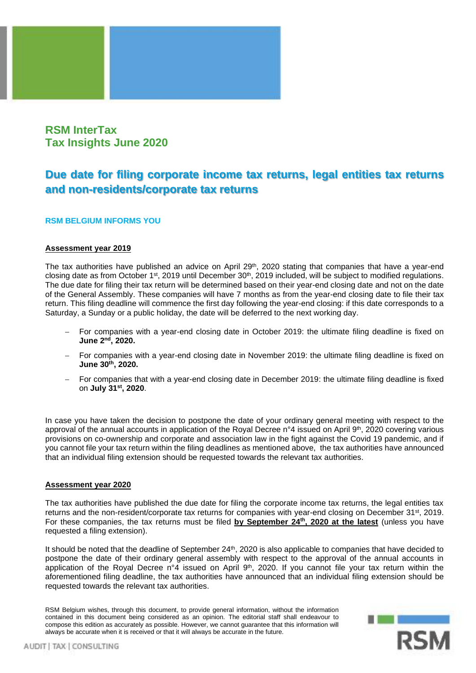

# **RSM InterTax Tax Insights June 2020**

# **Due date for filing corporate income tax returns, legal entities tax returns and non-residents/corporate tax returns**

## **RSM BELGIUM INFORMS YOU**

### **Assessment year 2019**

The tax authorities have published an advice on April 29<sup>th</sup>, 2020 stating that companies that have a year-end closing date as from October 1<sup>st</sup>, 2019 until December 30<sup>th</sup>, 2019 included, will be subject to modified regulations. The due date for filing their tax return will be determined based on their year-end closing date and not on the date of the General Assembly. These companies will have 7 months as from the year-end closing date to file their tax return. This filing deadline will commence the first day following the year-end closing: if this date corresponds to a Saturday, a Sunday or a public holiday, the date will be deferred to the next working day.

- For companies with a year-end closing date in October 2019: the ultimate filing deadline is fixed on **June 2 nd , 2020.**
- For companies with a year-end closing date in November 2019: the ultimate filing deadline is fixed on **June 30th , 2020.**
- − For companies that with a year-end closing date in December 2019: the ultimate filing deadline is fixed on **July 31st , 2020**.

In case you have taken the decision to postpone the date of your ordinary general meeting with respect to the approval of the annual accounts in application of the Royal Decree n°4 issued on April 9<sup>th</sup>, 2020 covering various provisions on co-ownership and corporate and association law in the fight against the Covid 19 pandemic, and if you cannot file your tax return within the filing deadlines as mentioned above, the tax authorities have announced that an individual filing extension should be requested towards the relevant tax authorities.

### **Assessment year 2020**

The tax authorities have published the due date for filing the corporate income tax returns, the legal entities tax returns and the non-resident/corporate tax returns for companies with year-end closing on December 31st, 2019. For these companies, the tax returns must be filed **by September 24th, 2020 at the latest** (unless you have requested a filing extension).

It should be noted that the deadline of September 24<sup>th</sup>, 2020 is also applicable to companies that have decided to postpone the date of their ordinary general assembly with respect to the approval of the annual accounts in application of the Royal Decree n°4 issued on April 9<sup>th</sup>, 2020. If you cannot file your tax return within the aforementioned filing deadline, the tax authorities have announced that an individual filing extension should be requested towards the relevant tax authorities.

RSM Belgium wishes, through this document, to provide general information, without the information contained in this document being considered as an opinion. The editorial staff shall endeavour to compose this edition as accurately as possible. However, we cannot guarantee that this information will always be accurate when it is received or that it will always be accurate in the future.